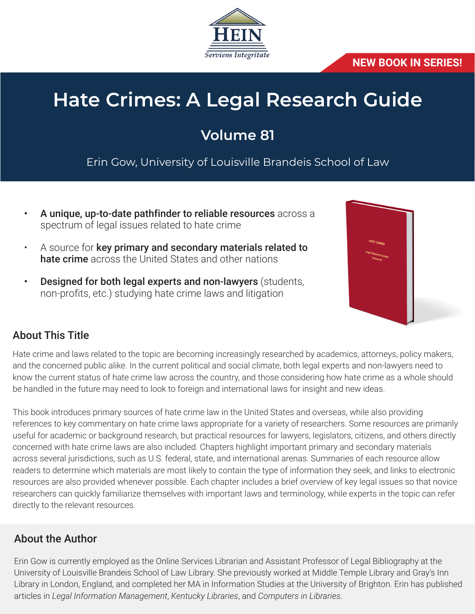

### **NEW BOOK IN SERIES!**

# **Hate Crimes: A Legal Research Guide**

# **Volume 81**

Erin Gow, University of Louisville Brandeis School of Law

- A unique, up-to-date pathfinder to reliable resources across a spectrum of legal issues related to hate crime
- A source for key primary and secondary materials related to hate crime across the United States and other nations
- **Designed for both legal experts and non-lawyers (students,** non-profits, etc.) studying hate crime laws and litigation



# About This Title

Hate crime and laws related to the topic are becoming increasingly researched by academics, attorneys, policy makers, and the concerned public alike. In the current political and social climate, both legal experts and non-lawyers need to know the current status of hate crime law across the country, and those considering how hate crime as a whole should be handled in the future may need to look to foreign and international laws for insight and new ideas.

This book introduces primary sources of hate crime law in the United States and overseas, while also providing references to key commentary on hate crime laws appropriate for a variety of researchers. Some resources are primarily useful for academic or background research, but practical resources for lawyers, legislators, citizens, and others directly concerned with hate crime laws are also included. Chapters highlight important primary and secondary materials across several jurisdictions, such as U.S. federal, state, and international arenas. Summaries of each resource allow readers to determine which materials are most likely to contain the type of information they seek, and links to electronic resources are also provided whenever possible. Each chapter includes a brief overview of key legal issues so that novice researchers can quickly familiarize themselves with important laws and terminology, while experts in the topic can refer directly to the relevant resources.

# About the Author

Erin Gow is currently employed as the Online Services Librarian and Assistant Professor of Legal Bibliography at the University of Louisville Brandeis School of Law Library. She previously worked at Middle Temple Library and Gray's Inn Library in London, England, and completed her MA in Information Studies at the University of Brighton. Erin has published articles in *Legal Information Management*, *Kentucky Libraries*, and *Computers in Libraries*.